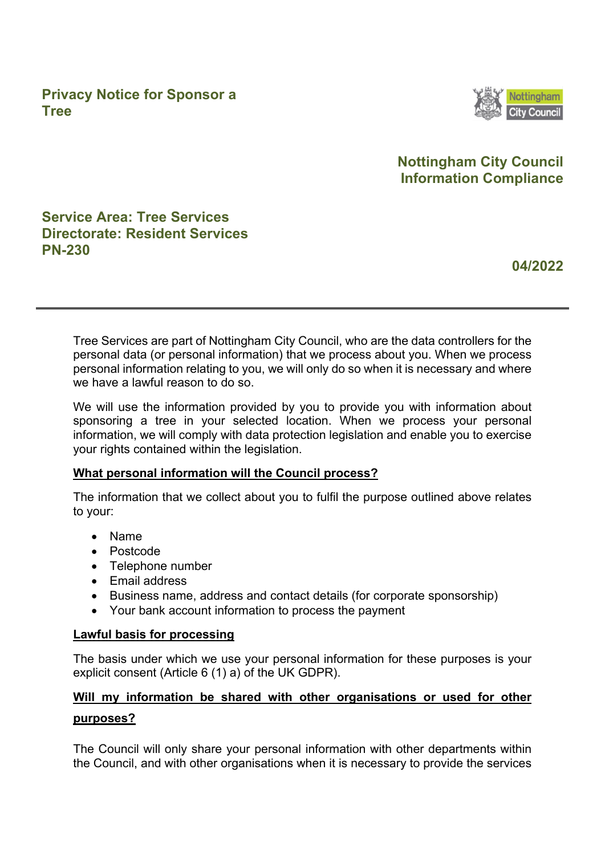**Privacy Notice for Sponsor a Tree**



## **Nottingham City Council Information Compliance**

## **Service Area: Tree Services Directorate: Resident Services PN-230**

**04/2022** 

Tree Services are part of Nottingham City Council, who are the data controllers for the personal data (or personal information) that we process about you. When we process personal information relating to you, we will only do so when it is necessary and where we have a lawful reason to do so.

We will use the information provided by you to provide you with information about sponsoring a tree in your selected location. When we process your personal information, we will comply with data protection legislation and enable you to exercise your rights contained within the legislation.

#### **What personal information will the Council process?**

The information that we collect about you to fulfil the purpose outlined above relates to your:

- Name
- Postcode
- Telephone number
- Email address
- Business name, address and contact details (for corporate sponsorship)
- Your bank account information to process the payment

#### **Lawful basis for processing**

The basis under which we use your personal information for these purposes is your explicit consent (Article 6 (1) a) of the UK GDPR).

# **Will my information be shared with other organisations or used for other purposes?**

The Council will only share your personal information with other departments within the Council, and with other organisations when it is necessary to provide the services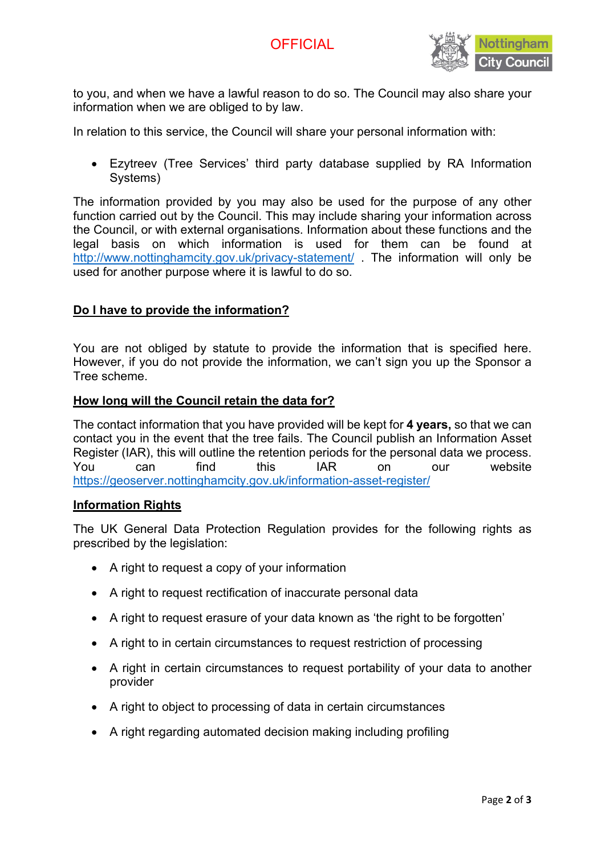

to you, and when we have a lawful reason to do so. The Council may also share your information when we are obliged to by law.

In relation to this service, the Council will share your personal information with:

• Ezytreev (Tree Services' third party database supplied by RA Information Systems)

The information provided by you may also be used for the purpose of any other function carried out by the Council. This may include sharing your information across the Council, or with external organisations. Information about these functions and the legal basis on which information is used for them can be found at <http://www.nottinghamcity.gov.uk/privacy-statement/> . The information will only be used for another purpose where it is lawful to do so.

#### **Do I have to provide the information?**

You are not obliged by statute to provide the information that is specified here. However, if you do not provide the information, we can't sign you up the Sponsor a Tree scheme.

#### **How long will the Council retain the data for?**

The contact information that you have provided will be kept for **4 years,** so that we can contact you in the event that the tree fails. The Council publish an Information Asset Register (IAR), this will outline the retention periods for the personal data we process. You can find this IAR on our website <https://geoserver.nottinghamcity.gov.uk/information-asset-register/>

#### **Information Rights**

The UK General Data Protection Regulation provides for the following rights as prescribed by the legislation:

- A right to request a copy of your information
- A right to request rectification of inaccurate personal data
- A right to request erasure of your data known as 'the right to be forgotten'
- A right to in certain circumstances to request restriction of processing
- A right in certain circumstances to request portability of your data to another provider
- A right to object to processing of data in certain circumstances
- A right regarding automated decision making including profiling